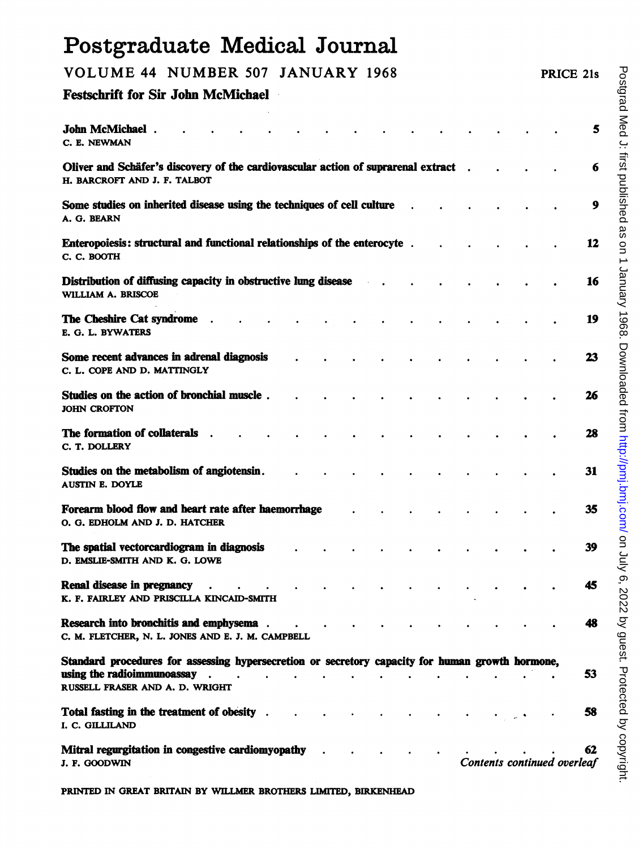## Postgraduate Medical Journal VOLUME <sup>44</sup> NUMBER <sup>507</sup> JANUARY <sup>1968</sup> PRICE 21s Festschrift for Sir John McMichael John McMichael . . . . . . . . . . . . . . . . . . 5 C. E. NEWMAN Oliver and Schäfer's discovery of the cardiovascular action of suprarenal extract . . . . . . . . . . . . . . 6 H. BARCROFT AND J. F. TALBOT Some studies on inherited disease using the techniques of cell culture  $\boldsymbol{9}$ A. G. BEARN Enteropoiesis: structual and functional relationships of the enterocyte . . . . . . 12 C. C. BOOTH Distribution of diffusing capacity in obstructive lung disease . . . . . . . . . . . . 16 WILLIAM A. BRISCOE The Cheshire Cat syndrome . . . . . . . . . . . . . . . . 19 E. 0. L. BYWATERS Some recent advances in adrenal diagnosis . . . . . . . . . . . 23 C. L. COPE AND D. MATTINGLY Studies on the action of bronchial muscle . . . . . . . . . . . 26 JOHN CROFTON The formation of collaterals . . . . . . . . . . . 28 C. T. DOLLERY Studies on the metabolism of angiotensin. . . . . . . . . . . . . . . 31 AUSTIN E. DOYLE Forearm blood flow and heart rate after haemorrhage in the state is a state of the state of the state of the state of the state of the state of the state of the state of the state of the state of the state of the state of 0. 0. EDHOLM AND J. D. HATCHER The spatial vectorcardiogram in diagnosis  $\cdot$  . . . . . . . . . . . . 39 D. EMSLIE-SMITH AND K. G. LOWE Renal disease in pregnancy 45 K. F. FAIRLEY AND PRISCILLA KINCAID-SMITH Research into bronchitis and emphysema. . . . . . . . . . . 48 C. M. FLETCHER, N. L. JONES AND E. J. M. CAMPBELL Standard procedures for assessing hypersecretion or secretory capacity for human growth hormone, using the radioimmunoassay  $\cdot$  . . . . . . . . . . . . . . . . . 53 RUSSELL FRASER AND A. D. WRIGHT Total fasting in the treatment of obesity . . . . . . . . . . . . . . . . 58 I. C. GILLILAND Mitral regurgitation in congestive cardiomyopathy . . . . . . . . . . . . . 62 J. F. GOODWIN Contents continued overleaf

PRINTED IN GREAT BRITAIN BY WILLMER BROTHERS LIMITED, BIRKENHEAD